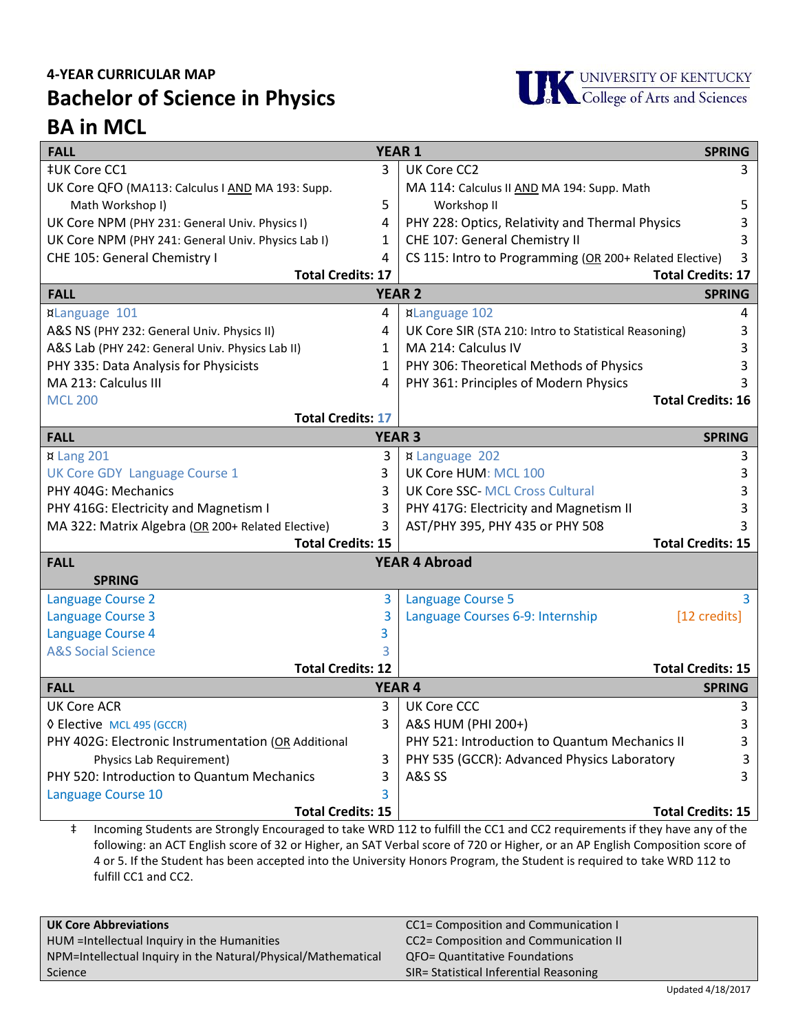## **4-YEAR CURRICULAR MAP Bachelor of Science in Physics BA in MCL**



| <b>YEAR 1</b><br><b>FALL</b>                        |               |                                                         | <b>SPRING</b> |  |
|-----------------------------------------------------|---------------|---------------------------------------------------------|---------------|--|
| ‡UK Core CC1                                        | 3             | UK Core CC2                                             | 3             |  |
| UK Core QFO (MA113: Calculus I AND MA 193: Supp.    |               | MA 114: Calculus II AND MA 194: Supp. Math              |               |  |
| Math Workshop I)                                    | 5             | Workshop II                                             | 5             |  |
| UK Core NPM (PHY 231: General Univ. Physics I)      | 4             | PHY 228: Optics, Relativity and Thermal Physics         | 3             |  |
| UK Core NPM (PHY 241: General Univ. Physics Lab I)  | 1             | CHE 107: General Chemistry II                           | 3             |  |
| CHE 105: General Chemistry I                        | 4             | CS 115: Intro to Programming (OR 200+ Related Elective) | 3             |  |
| <b>Total Credits: 17</b>                            |               | <b>Total Credits: 17</b>                                |               |  |
| <b>FALL</b>                                         |               | <b>YEAR 2</b>                                           | <b>SPRING</b> |  |
| ¤Language 101                                       | 4             | <b>xLanguage 102</b>                                    | 4             |  |
| A&S NS (PHY 232: General Univ. Physics II)          | 4             | UK Core SIR (STA 210: Intro to Statistical Reasoning)   | 3             |  |
| A&S Lab (PHY 242: General Univ. Physics Lab II)     | 1             | MA 214: Calculus IV                                     |               |  |
| PHY 335: Data Analysis for Physicists               | 1             | PHY 306: Theoretical Methods of Physics                 |               |  |
| MA 213: Calculus III                                | 4             | PHY 361: Principles of Modern Physics                   |               |  |
| <b>MCL 200</b>                                      |               | <b>Total Credits: 16</b>                                |               |  |
| <b>Total Credits: 17</b>                            |               |                                                         |               |  |
| <b>FALL</b>                                         | <b>YEAR 3</b> |                                                         | <b>SPRING</b> |  |
| ¤ Lang 201                                          | 3             | <b>¤ Language 202</b>                                   | 3             |  |
| UK Core GDY Language Course 1                       | 3             | UK Core HUM: MCL 100                                    | 3             |  |
| PHY 404G: Mechanics                                 | 3             | <b>UK Core SSC-MCL Cross Cultural</b>                   |               |  |
| PHY 416G: Electricity and Magnetism I               | 3             | PHY 417G: Electricity and Magnetism II                  |               |  |
| MA 322: Matrix Algebra (OR 200+ Related Elective)   | 3             | AST/PHY 395, PHY 435 or PHY 508                         |               |  |
| <b>Total Credits: 15</b>                            |               | <b>Total Credits: 15</b>                                |               |  |
| <b>YEAR 4 Abroad</b><br><b>FALL</b>                 |               |                                                         |               |  |
| <b>SPRING</b>                                       |               |                                                         |               |  |
| <b>Language Course 2</b>                            | 3             | Language Course 5                                       | 3             |  |
| <b>Language Course 3</b>                            | 3             | Language Courses 6-9: Internship                        | [12 credits]  |  |
| Language Course 4                                   | 3             |                                                         |               |  |
| <b>A&amp;S Social Science</b>                       | 3             |                                                         |               |  |
| <b>Total Credits: 12</b>                            |               | <b>Total Credits: 15</b>                                |               |  |
| <b>FALL</b>                                         |               | <b>YEAR 4</b>                                           | <b>SPRING</b> |  |
| <b>UK Core ACR</b>                                  | 3             | <b>UK Core CCC</b>                                      | 3             |  |
| ♦ Elective MCL 495 (GCCR)                           | 3             | A&S HUM (PHI 200+)                                      | 3             |  |
| PHY 402G: Electronic Instrumentation (OR Additional |               | PHY 521: Introduction to Quantum Mechanics II           | 3             |  |
| Physics Lab Requirement)                            | 3             | PHY 535 (GCCR): Advanced Physics Laboratory             | 3             |  |
| PHY 520: Introduction to Quantum Mechanics          | 3             | <b>A&amp;S SS</b>                                       | 3             |  |
| Language Course 10                                  |               |                                                         |               |  |
| <b>Total Credits: 15</b>                            |               | <b>Total Credits: 15</b>                                |               |  |

‡ Incoming Students are Strongly Encouraged to take WRD 112 to fulfill the CC1 and CC2 requirements if they have any of the following: an ACT English score of 32 or Higher, an SAT Verbal score of 720 or Higher, or an AP English Composition score of 4 or 5. If the Student has been accepted into the University Honors Program, the Student is required to take WRD 112 to fulfill CC1 and CC2.

| <b>UK Core Abbreviations</b>                                  | CC1= Composition and Communication I   |
|---------------------------------------------------------------|----------------------------------------|
| <b>HUM</b> = Intellectual Inquiry in the Humanities           | CC2= Composition and Communication II  |
| NPM=Intellectual Inquiry in the Natural/Physical/Mathematical | <b>QFO= Quantitative Foundations</b>   |
| Science                                                       | SIR= Statistical Inferential Reasoning |